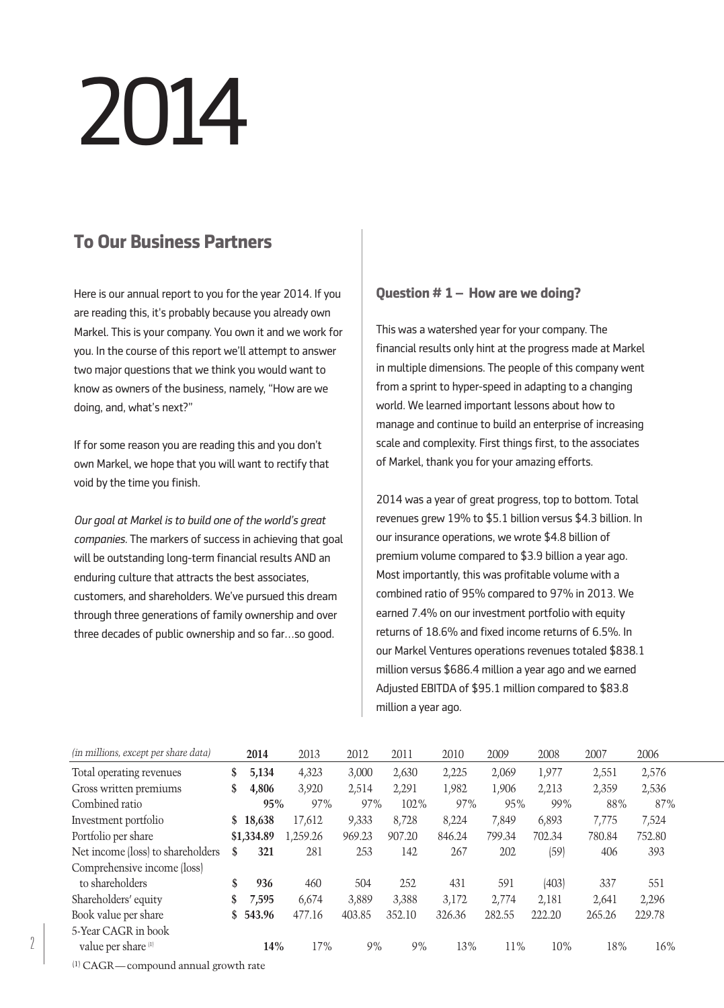# 2014

# **To Our Business Partners**

Here is our annual report to you for the year 2014. If you are reading this, it's probably because you already own Markel. This is your company. You own it and we work for you. In the course of this report we'll attempt to answer two major questions that we think you would want to know as owners of the business, namely, "How are we doing, and, what's next?"

If for some reason you are reading this and you don't own Markel, we hope that you will want to rectify that void by the time you finish.

*Our goal at Markel is to build one of the world's great companies.* The markers of success in achieving that goal will be outstanding long-term financial results AND an enduring culture that attracts the best associates, customers, and shareholders. We've pursued this dream through three generations of family ownership and over three decades of public ownership and so far…so good.

# **Question # 1 – How are we doing?**

This was a watershed year for your company. The financial results only hint at the progress made at Markel in multiple dimensions. The people of this company went from a sprint to hyper-speed in adapting to a changing world. We learned important lessons about how to manage and continue to build an enterprise of increasing scale and complexity. First things first, to the associates of Markel, thank you for your amazing efforts.

2014 was a year of great progress, top to bottom. Total revenues grew 19% to \$5.1 billion versus \$4.3 billion. In our insurance operations, we wrote \$4.8 billion of premium volume compared to \$3.9 billion a year ago. Most importantly, this was profitable volume with a combined ratio of 95% compared to 97% in 2013. We earned 7.4% on our investment portfolio with equity returns of 18.6% and fixed income returns of 6.5%. In our Markel Ventures operations revenues totaled \$838.1 million versus \$686.4 million a year ago and we earned Adjusted EBITDA of \$95.1 million compared to \$83.8 million a year ago.

| (in millions, except per share data) |    | 2014       | 2013     | 2012   | 2011   | 2010   | 2009   | 2008   | 2007   | 2006   |
|--------------------------------------|----|------------|----------|--------|--------|--------|--------|--------|--------|--------|
| Total operating revenues             | \$ | 5,134      | 4,323    | 3,000  | 2,630  | 2,225  | 2,069  | 1,977  | 2,551  | 2,576  |
| Gross written premiums               | \$ | 4,806      | 3,920    | 2,514  | 2,291  | 1,982  | 1,906  | 2,213  | 2,359  | 2,536  |
| Combined ratio                       |    | 95%        | 97%      | 97%    | 102%   | 97%    | 95%    | 99%    | 88%    | 87%    |
| Investment portfolio                 | S  | 18,638     | 17,612   | 9,333  | 8,728  | 8,224  | 7,849  | 6,893  | 7,775  | 7,524  |
| Portfolio per share                  |    | \$1,334.89 | 1,259.26 | 969.23 | 907.20 | 846.24 | 799.34 | 702.34 | 780.84 | 752.80 |
| Net income (loss) to shareholders    | S  | 321        | 281      | 253    | 142    | 267    | 202    | (59)   | 406    | 393    |
| Comprehensive income (loss)          |    |            |          |        |        |        |        |        |        |        |
| to shareholders                      | \$ | 936        | 460      | 504    | 252    | 431    | 591    | (403)  | 337    | 551    |
| Shareholders' equity                 | \$ | 7,595      | 6,674    | 3,889  | 3,388  | 3,172  | 2,774  | 2,181  | 2,641  | 2,296  |
| Book value per share                 | \$ | 543.96     | 477.16   | 403.85 | 352.10 | 326.36 | 282.55 | 222.20 | 265.26 | 229.78 |
| 5-Year CAGR in book                  |    |            |          |        |        |        |        |        |        |        |
| value per share <sup>[1]</sup>       |    | 14%        | 17%      | 9%     | 9%     | 13%    | 11%    | 10%    | 18%    | 16%    |

(1) CAGR—compound annual growth rate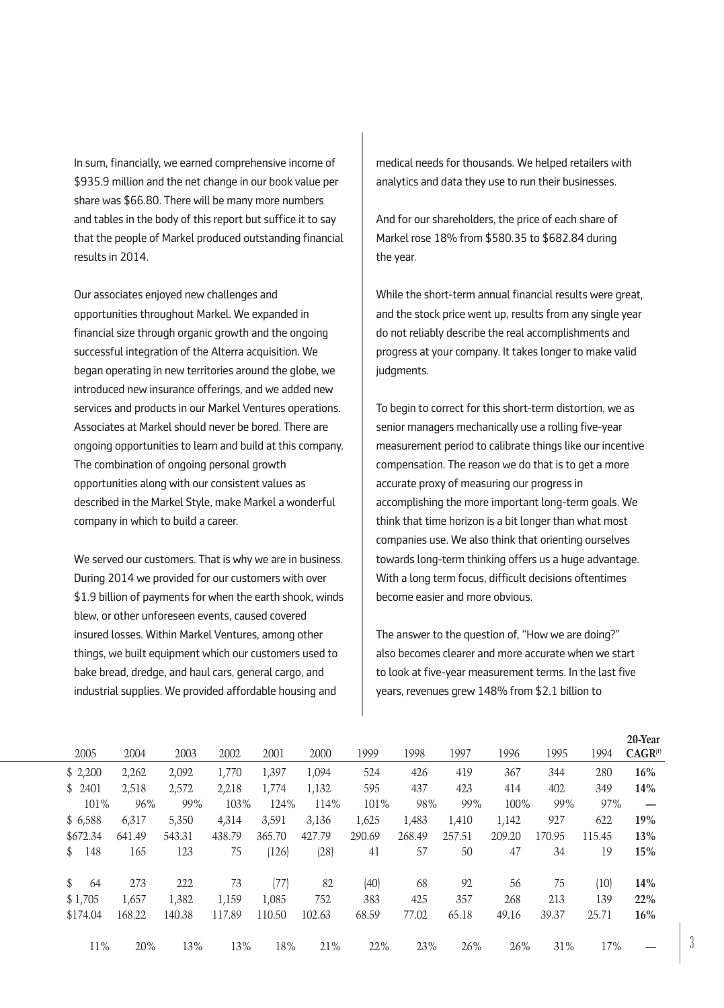In sum, financially, we earned comprehensive income of \$935.9 million and the net change in our book value per share was \$66.80. There will be many more numbers and tables in the body of this report but suffice it to say that the people of Markel produced outstanding financial results in 2014.

Our associates enjoyed new challenges and opportunities throughout Markel. We expanded in financial size through organic growth and the ongoing successful integration of the Alterra acquisition. We began operating in new territories around the globe, we introduced new insurance offerings, and we added new services and products in our Markel Ventures operations. Associates at Markel should never be bored. There are ongoing opportunities to learn and build at this company. The combination of ongoing personal growth opportunities along with our consistent values as described in the Markel Style, make Markel a wonderful company in which to build a career.

We served our customers. That is why we are in business. During 2014 we provided for our customers with over \$1.9 billion of payments for when the earth shook, winds blew, or other unforeseen events, caused covered insured losses. Within Markel Ventures, among other things, we built equipment which our customers used to bake bread, dredge, and haul cars, general cargo, and industrial supplies. We provided affordable housing and

medical needs for thousands. We helped retailers with analytics and data they use to run their businesses.

And for our shareholders, the price of each share of Markel rose 18% from \$580.35 to \$682.84 during the year.

While the short-term annual financial results were great, and the stock price went up, results from any single year do not reliably describe the real accomplishments and progress at your company. It takes longer to make valid judgments.

To begin to correct for this short-term distortion, we as senior managers mechanically use a rolling five-year measurement period to calibrate things like our incentive compensation. The reason we do that is to get a more accurate proxy of measuring our progress in accomplishing the more important long-term goals. We think that time horizon is a bit longer than what most companies use. We also think that orienting ourselves towards long-term thinking offers us a huge advantage. With a long term focus, difficult decisions oftentimes become easier and more obvious.

The answer to the question of, "How we are doing?" also becomes clearer and more accurate when we start to look at five-year measurement terms. In the last five years, revenues grew 148% from \$2.1 billion to

|            |        |        |        |        |        |        |        |        |        |        |        | 20-Year      |
|------------|--------|--------|--------|--------|--------|--------|--------|--------|--------|--------|--------|--------------|
| 2005       | 2004   | 2003   | 2002   | 2001   | 2000   | 1999   | 1998   | 1997   | 1996   | 1995   | 1994   | $CAGR^{(1)}$ |
| \$2,200    | 2,262  | 2,092  | 1,770  | 1,397  | 1,094  | 524    | 426    | 419    | 367    | 344    | 280    | 16%          |
| 2401<br>S. | 2,518  | 2,572  | 2,218  | 1,774  | 1,132  | 595    | 437    | 423    | 414    | 402    | 349    | 14%          |
| $101\%$    | 96%    | 99%    | 103%   | 124%   | 114%   | 101%   | 98%    | 99%    | 100%   | 99%    | 97%    |              |
| \$6,588    | 6,317  | 5,350  | 4,314  | 3,591  | 3,136  | 1,625  | 1,483  | 1,410  | 1,142  | 927    | 622    | 19%          |
| \$672.34   | 641.49 | 543.31 | 438.79 | 365.70 | 427.79 | 290.69 | 268.49 | 257.51 | 209.20 | 170.95 | 115.45 | 13%          |
| 148<br>S   | 165    | 123    | 75     | (126)  | (28)   | 41     | 57     | 50     | 47     | 34     | 19     | 15%          |
| S<br>64    | 273    | 222    | 73     | (77)   | 82     | (40)   | 68     | 92     | 56     | 75     | (10)   | 14%          |
| \$1,705    | 1.657  | 1,382  | 1,159  | 1.085  | 752    | 383    | 425    | 357    | 268    | 213    | 139    | 22%          |
| \$174.04   | 168.22 | 140.38 | 117.89 | 110.50 | 102.63 | 68.59  | 77.02  | 65.18  | 49.16  | 39.37  | 25.71  | 16%          |
| 11%        | 20%    | 13%    | 13%    | 18%    | 21%    | 22%    | 23%    | 26%    | 26%    | 31%    | 17%    |              |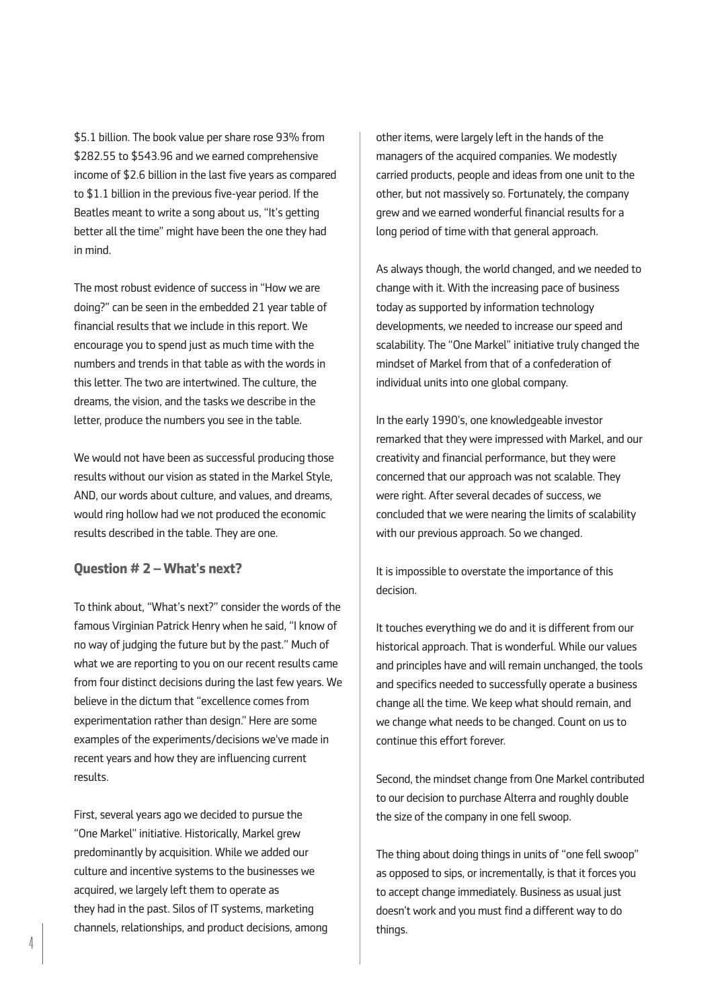\$5.1 billion. The book value per share rose 93% from \$282.55 to \$543.96 and we earned comprehensive income of \$2.6 billion in the last five years as compared to \$1.1 billion in the previous five-year period. If the Beatles meant to write a song about us, "It's getting better all the time" might have been the one they had in mind.

The most robust evidence of success in "How we are doing?" can be seen in the embedded 21 year table of financial results that we include in this report. We encourage you to spend just as much time with the numbers and trends in that table as with the words in this letter. The two are intertwined. The culture, the dreams, the vision, and the tasks we describe in the letter, produce the numbers you see in the table.

We would not have been as successful producing those results without our vision as stated in the Markel Style, AND, our words about culture, and values, and dreams, would ring hollow had we not produced the economic results described in the table. They are one.

#### **Question # 2 – What's next?**

To think about, "What's next?" consider the words of the famous Virginian Patrick Henry when he said, "I know of no way of judging the future but by the past." Much of what we are reporting to you on our recent results came from four distinct decisions during the last few years. We believe in the dictum that "excellence comes from experimentation rather than design." Here are some examples of the experiments/decisions we've made in recent years and how they are influencing current results.

First, several years ago we decided to pursue the "One Markel" initiative. Historically, Markel grew predominantly by acquisition. While we added our culture and incentive systems to the businesses we acquired, we largely left them to operate as they had in the past. Silos of IT systems, marketing channels, relationships, and product decisions, among other items, were largely left in the hands of the managers of the acquired companies. We modestly carried products, people and ideas from one unit to the other, but not massively so. Fortunately, the company grew and we earned wonderful financial results for a long period of time with that general approach.

As always though, the world changed, and we needed to change with it. With the increasing pace of business today as supported by information technology developments, we needed to increase our speed and scalability. The "One Markel" initiative truly changed the mindset of Markel from that of a confederation of individual units into one global company.

In the early 1990's, one knowledgeable investor remarked that they were impressed with Markel, and our creativity and financial performance, but they were concerned that our approach was not scalable. They were right. After several decades of success, we concluded that we were nearing the limits of scalability with our previous approach. So we changed.

It is impossible to overstate the importance of this decision.

It touches everything we do and it is different from our historical approach. That is wonderful. While our values and principles have and will remain unchanged, the tools and specifics needed to successfully operate a business change all the time. We keep what should remain, and we change what needs to be changed. Count on us to continue this effort forever.

Second, the mindset change from One Markel contributed to our decision to purchase Alterra and roughly double the size of the company in one fell swoop.

The thing about doing things in units of "one fell swoop" as opposed to sips, or incrementally, is that it forces you to accept change immediately. Business as usual just doesn't work and you must find a different way to do things.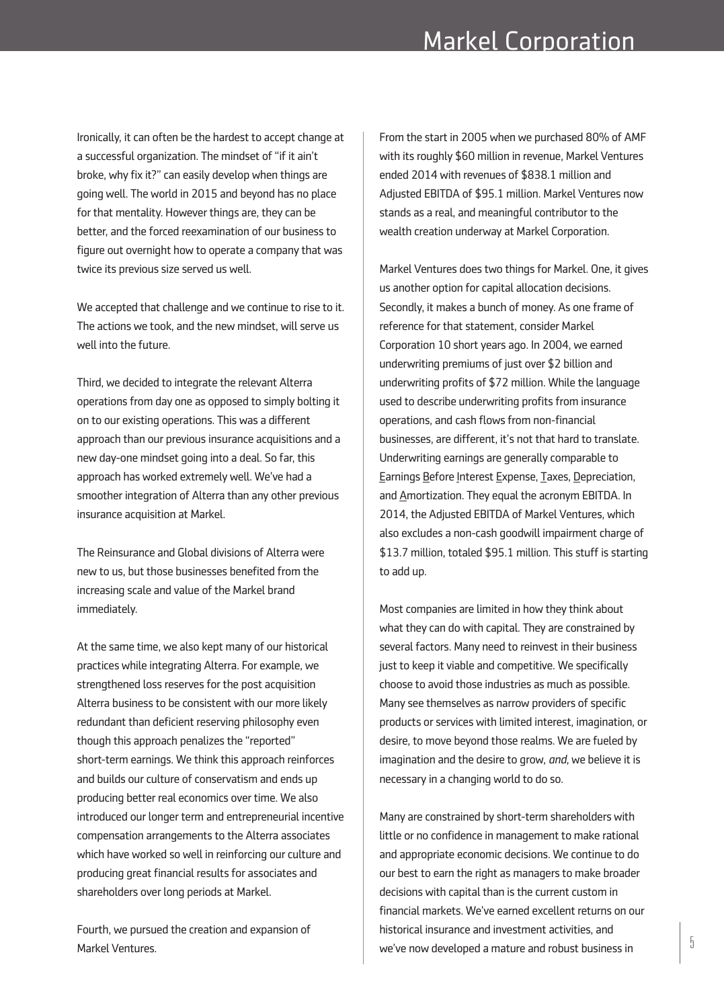Ironically, it can often be the hardest to accept change at a successful organization. The mindset of "if it ain't broke, why fix it?" can easily develop when things are going well. The world in 2015 and beyond has no place for that mentality. However things are, they can be better, and the forced reexamination of our business to figure out overnight how to operate a company that was twice its previous size served us well.

We accepted that challenge and we continue to rise to it. The actions we took, and the new mindset, will serve us well into the future.

Third, we decided to integrate the relevant Alterra operations from day one as opposed to simply bolting it on to our existing operations. This was a different approach than our previous insurance acquisitions and a new day-one mindset going into a deal. So far, this approach has worked extremely well. We've had a smoother integration of Alterra than any other previous insurance acquisition at Markel.

The Reinsurance and Global divisions of Alterra were new to us, but those businesses benefited from the increasing scale and value of the Markel brand immediately.

At the same time, we also kept many of our historical practices while integrating Alterra. For example, we strengthened loss reserves for the post acquisition Alterra business to be consistent with our more likely redundant than deficient reserving philosophy even though this approach penalizes the "reported" short-term earnings. We think this approach reinforces and builds our culture of conservatism and ends up producing better real economics over time. We also introduced our longer term and entrepreneurial incentive compensation arrangements to the Alterra associates which have worked so well in reinforcing our culture and producing great financial results for associates and shareholders over long periods at Markel.

Fourth, we pursued the creation and expansion of

From the start in 2005 when we purchased 80% of AMF with its roughly \$60 million in revenue, Markel Ventures ended 2014 with revenues of \$838.1 million and Adjusted EBITDA of \$95.1 million. Markel Ventures now stands as a real, and meaningful contributor to the wealth creation underway at Markel Corporation.

Markel Ventures does two things for Markel. One, it gives us another option for capital allocation decisions. Secondly, it makes a bunch of money. As one frame of reference for that statement, consider Markel Corporation 10 short years ago. In 2004, we earned underwriting premiums of just over \$2 billion and underwriting profits of \$72 million. While the language used to describe underwriting profits from insurance operations, and cash flows from non-financial businesses, are different, it's not that hard to translate. Underwriting earnings are generally comparable to Earnings Before Interest Expense, Taxes, Depreciation, and Amortization. They equal the acronym EBITDA. In 2014, the Adjusted EBITDA of Markel Ventures, which also excludes a non-cash goodwill impairment charge of \$13.7 million, totaled \$95.1 million. This stuff is starting to add up.

Most companies are limited in how they think about what they can do with capital. They are constrained by several factors. Many need to reinvest in their business just to keep it viable and competitive. We specifically choose to avoid those industries as much as possible. Many see themselves as narrow providers of specific products or services with limited interest, imagination, or desire, to move beyond those realms. We are fueled by imagination and the desire to grow, *and*, we believe it is necessary in a changing world to do so.

Markel Ventures.<br>Markel Ventures.  $\begin{bmatrix} 5 \end{bmatrix}$  we've now developed a mature and robust business in Many are constrained by short-term shareholders with little or no confidence in management to make rational and appropriate economic decisions. We continue to do our best to earn the right as managers to make broader decisions with capital than is the current custom in financial markets. We've earned excellent returns on our historical insurance and investment activities, and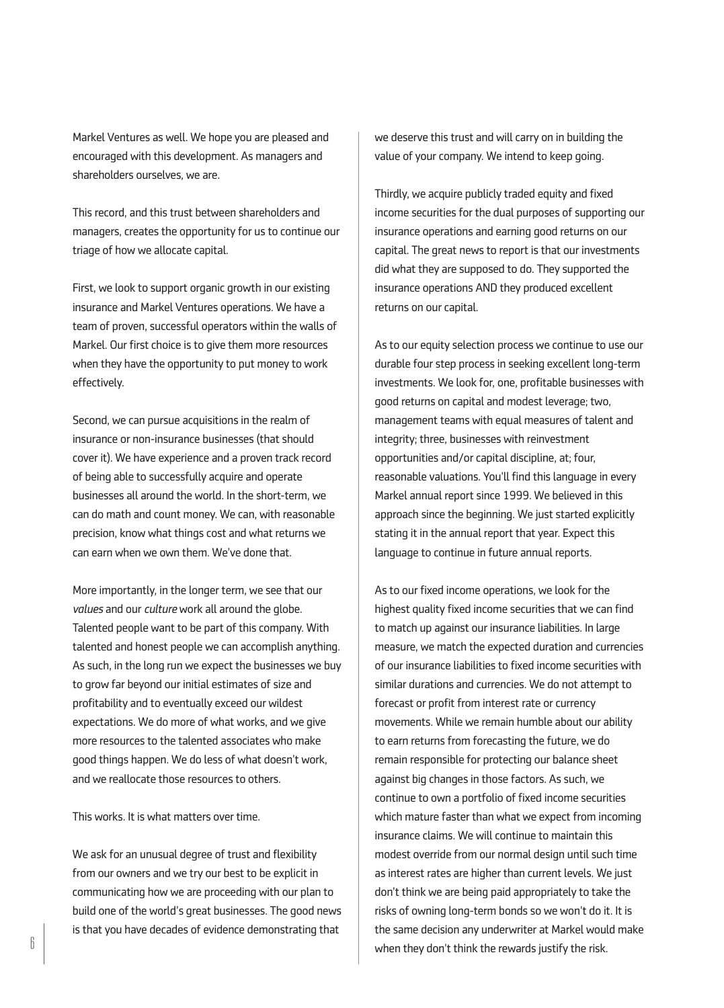Markel Ventures as well. We hope you are pleased and encouraged with this development. As managers and shareholders ourselves, we are.

This record, and this trust between shareholders and managers, creates the opportunity for us to continue our triage of how we allocate capital.

First, we look to support organic growth in our existing insurance and Markel Ventures operations. We have a team of proven, successful operators within the walls of Markel. Our first choice is to give them more resources when they have the opportunity to put money to work effectively.

Second, we can pursue acquisitions in the realm of insurance or non-insurance businesses (that should cover it). We have experience and a proven track record of being able to successfully acquire and operate businesses all around the world. In the short-term, we can do math and count money. We can, with reasonable precision, know what things cost and what returns we can earn when we own them. We've done that.

More importantly, in the longer term, we see that our *values* and our *culture* work all around the globe. Talented people want to be part of this company. With talented and honest people we can accomplish anything. As such, in the long run we expect the businesses we buy to grow far beyond our initial estimates of size and profitability and to eventually exceed our wildest expectations. We do more of what works, and we give more resources to the talented associates who make good things happen. We do less of what doesn't work, and we reallocate those resources to others.

This works. It is what matters over time.

We ask for an unusual degree of trust and flexibility from our owners and we try our best to be explicit in communicating how we are proceeding with our plan to build one of the world's great businesses. The good news is that you have decades of evidence demonstrating that

we deserve this trust and will carry on in building the value of your company. We intend to keep going.

Thirdly, we acquire publicly traded equity and fixed income securities for the dual purposes of supporting our insurance operations and earning good returns on our capital. The great news to report is that our investments did what they are supposed to do. They supported the insurance operations AND they produced excellent returns on our capital.

As to our equity selection process we continue to use our durable four step process in seeking excellent long-term investments. We look for, one, profitable businesses with good returns on capital and modest leverage; two, management teams with equal measures of talent and integrity; three, businesses with reinvestment opportunities and/or capital discipline, at; four, reasonable valuations. You'll find this language in every Markel annual report since 1999. We believed in this approach since the beginning. We just started explicitly stating it in the annual report that year. Expect this language to continue in future annual reports.

As to our fixed income operations, we look for the highest quality fixed income securities that we can find to match up against our insurance liabilities. In large measure, we match the expected duration and currencies of our insurance liabilities to fixed income securities with similar durations and currencies. We do not attempt to forecast or profit from interest rate or currency movements. While we remain humble about our ability to earn returns from forecasting the future, we do remain responsible for protecting our balance sheet against big changes in those factors. As such, we continue to own a portfolio of fixed income securities which mature faster than what we expect from incoming insurance claims. We will continue to maintain this modest override from our normal design until such time as interest rates are higher than current levels. We just don't think we are being paid appropriately to take the risks of owning long-term bonds so we won't do it. It is the same decision any underwriter at Markel would make when they don't think the rewards justify the risk.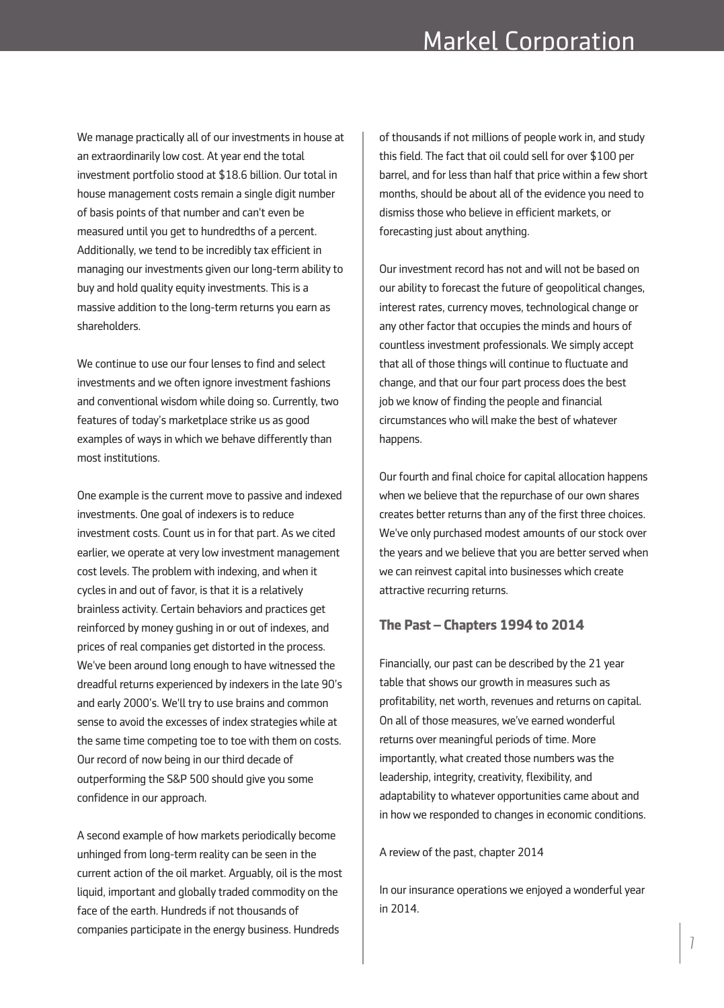We manage practically all of our investments in house at an extraordinarily low cost. At year end the total investment portfolio stood at \$18.6 billion. Our total in house management costs remain a single digit number of basis points of that number and can't even be measured until you get to hundredths of a percent. Additionally, we tend to be incredibly tax efficient in managing our investments given our long-term ability to buy and hold quality equity investments. This is a massive addition to the long-term returns you earn as shareholders.

We continue to use our four lenses to find and select investments and we often ignore investment fashions and conventional wisdom while doing so. Currently, two features of today's marketplace strike us as good examples of ways in which we behave differently than most institutions.

One example is the current move to passive and indexed investments. One goal of indexers is to reduce investment costs. Count us in for that part. As we cited earlier, we operate at very low investment management cost levels. The problem with indexing, and when it cycles in and out of favor, is that it is a relatively brainless activity. Certain behaviors and practices get reinforced by money gushing in or out of indexes, and prices of real companies get distorted in the process. We've been around long enough to have witnessed the dreadful returns experienced by indexers in the late 90's and early 2000's. We'll try to use brains and common sense to avoid the excesses of index strategies while at the same time competing toe to toe with them on costs. Our record of now being in our third decade of outperforming the S&P 500 should give you some confidence in our approach.

A second example of how markets periodically become unhinged from long-term reality can be seen in the current action of the oil market. Arguably, oil is the most liquid, important and globally traded commodity on the face of the earth. Hundreds if not thousands of companies participate in the energy business. Hundreds

of thousands if not millions of people work in, and study this field. The fact that oil could sell for over \$100 per barrel, and for less than half that price within a few short months, should be about all of the evidence you need to dismiss those who believe in efficient markets, or forecasting just about anything.

Our investment record has not and will not be based on our ability to forecast the future of geopolitical changes, interest rates, currency moves, technological change or any other factor that occupies the minds and hours of countless investment professionals. We simply accept that all of those things will continue to fluctuate and change, and that our four part process does the best job we know of finding the people and financial circumstances who will make the best of whatever happens.

Our fourth and final choice for capital allocation happens when we believe that the repurchase of our own shares creates better returns than any of the first three choices. We've only purchased modest amounts of our stock over the years and we believe that you are better served when we can reinvest capital into businesses which create attractive recurring returns.

# **The Past – Chapters 1994 to 2014**

Financially, our past can be described by the 21 year table that shows our growth in measures such as profitability, net worth, revenues and returns on capital. On all of those measures, we've earned wonderful returns over meaningful periods of time. More importantly, what created those numbers was the leadership, integrity, creativity, flexibility, and adaptability to whatever opportunities came about and in how we responded to changes in economic conditions.

A review of the past, chapter 2014

In our insurance operations we enjoyed a wonderful year in 2014.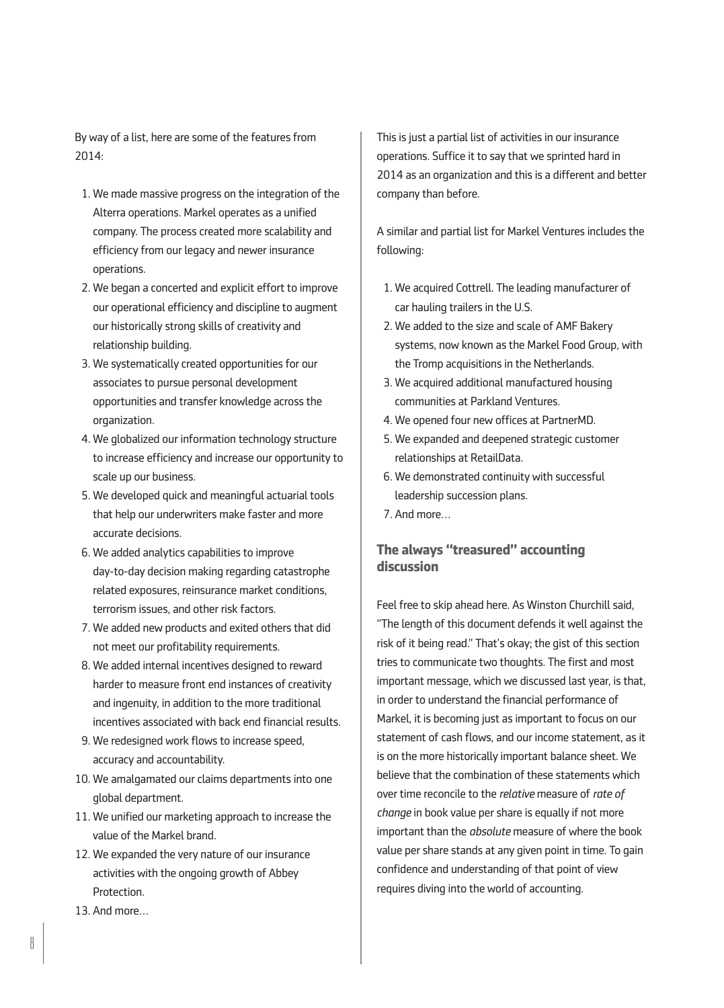By way of a list, here are some of the features from 2014:

- 1. We made massive progress on the integration of the Alterra operations. Markel operates as a unified company. The process created more scalability and efficiency from our legacy and newer insurance operations.
- 02. We began a concerted and explicit effort to improve our operational efficiency and discipline to augment our historically strong skills of creativity and relationship building.
- 3. We systematically created opportunities for our associates to pursue personal development opportunities and transfer knowledge across the organization.
- 4. We globalized our information technology structure to increase efficiency and increase our opportunity to scale up our business.
- 05. We developed quick and meaningful actuarial tools that help our underwriters make faster and more accurate decisions.
- 06. We added analytics capabilities to improve day-to-day decision making regarding catastrophe related exposures, reinsurance market conditions, terrorism issues, and other risk factors.
- 7. We added new products and exited others that did not meet our profitability requirements.
- 08. We added internal incentives designed to reward harder to measure front end instances of creativity and ingenuity, in addition to the more traditional incentives associated with back end financial results.
- 09. We redesigned work flows to increase speed, accuracy and accountability.
- 10. We amalgamated our claims departments into one global department.
- 11. We unified our marketing approach to increase the value of the Markel brand.
- 12. We expanded the very nature of our insurance activities with the ongoing growth of Abbey **Protection**
- 13. And more…

This is just a partial list of activities in our insurance operations. Suffice it to say that we sprinted hard in 2014 as an organization and this is a different and better company than before.

A similar and partial list for Markel Ventures includes the following:

- 01. We acquired Cottrell. The leading manufacturer of car hauling trailers in the U.S.
- 02. We added to the size and scale of AMF Bakery systems, now known as the Markel Food Group, with the Tromp acquisitions in the Netherlands.
- 03. We acquired additional manufactured housing communities at Parkland Ventures.
- 4. We opened four new offices at PartnerMD.
- 05. We expanded and deepened strategic customer relationships at RetailData.
- 06. We demonstrated continuity with successful leadership succession plans.
- 07. And more…

# **The always "treasured" accounting discussion**

Feel free to skip ahead here. As Winston Churchill said, "The length of this document defends it well against the risk of it being read." That's okay; the gist of this section tries to communicate two thoughts. The first and most important message, which we discussed last year, is that, in order to understand the financial performance of Markel, it is becoming just as important to focus on our statement of cash flows, and our income statement, as it is on the more historically important balance sheet. We believe that the combination of these statements which over time reconcile to the *relative* measure of *rate of change* in book value per share is equally if not more important than the *absolute* measure of where the book value per share stands at any given point in time. To gain confidence and understanding of that point of view requires diving into the world of accounting.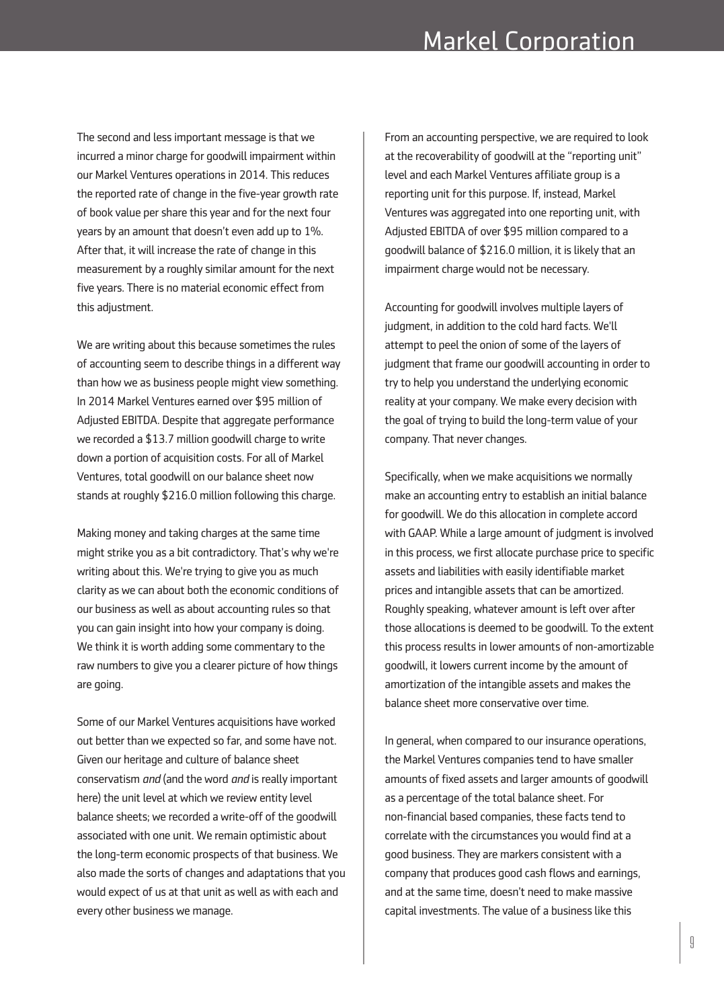The second and less important message is that we incurred a minor charge for goodwill impairment within our Markel Ventures operations in 2014. This reduces the reported rate of change in the five-year growth rate of book value per share this year and for the next four years by an amount that doesn't even add up to 1%. After that, it will increase the rate of change in this measurement by a roughly similar amount for the next five years. There is no material economic effect from this adjustment.

We are writing about this because sometimes the rules of accounting seem to describe things in a different way than how we as business people might view something. In 2014 Markel Ventures earned over \$95 million of Adjusted EBITDA. Despite that aggregate performance we recorded a \$13.7 million goodwill charge to write down a portion of acquisition costs. For all of Markel Ventures, total goodwill on our balance sheet now stands at roughly \$216.0 million following this charge.

Making money and taking charges at the same time might strike you as a bit contradictory. That's why we're writing about this. We're trying to give you as much clarity as we can about both the economic conditions of our business as well as about accounting rules so that you can gain insight into how your company is doing. We think it is worth adding some commentary to the raw numbers to give you a clearer picture of how things are going.

Some of our Markel Ventures acquisitions have worked out better than we expected so far, and some have not. Given our heritage and culture of balance sheet conservatism *and* (and the word *and* is really important here) the unit level at which we review entity level balance sheets; we recorded a write-off of the goodwill associated with one unit. We remain optimistic about the long-term economic prospects of that business. We also made the sorts of changes and adaptations that you would expect of us at that unit as well as with each and every other business we manage.

From an accounting perspective, we are required to look at the recoverability of goodwill at the "reporting unit" level and each Markel Ventures affiliate group is a reporting unit for this purpose. If, instead, Markel Ventures was aggregated into one reporting unit, with Adjusted EBITDA of over \$95 million compared to a goodwill balance of \$216.0 million, it is likely that an impairment charge would not be necessary.

Accounting for goodwill involves multiple layers of judgment, in addition to the cold hard facts. We'll attempt to peel the onion of some of the layers of judgment that frame our goodwill accounting in order to try to help you understand the underlying economic reality at your company. We make every decision with the goal of trying to build the long-term value of your company. That never changes.

Specifically, when we make acquisitions we normally make an accounting entry to establish an initial balance for goodwill. We do this allocation in complete accord with GAAP. While a large amount of judgment is involved in this process, we first allocate purchase price to specific assets and liabilities with easily identifiable market prices and intangible assets that can be amortized. Roughly speaking, whatever amount is left over after those allocations is deemed to be goodwill. To the extent this process results in lower amounts of non-amortizable goodwill, it lowers current income by the amount of amortization of the intangible assets and makes the balance sheet more conservative over time.

In general, when compared to our insurance operations, the Markel Ventures companies tend to have smaller amounts of fixed assets and larger amounts of goodwill as a percentage of the total balance sheet. For non-financial based companies, these facts tend to correlate with the circumstances you would find at a good business. They are markers consistent with a company that produces good cash flows and earnings, and at the same time, doesn't need to make massive capital investments. The value of a business like this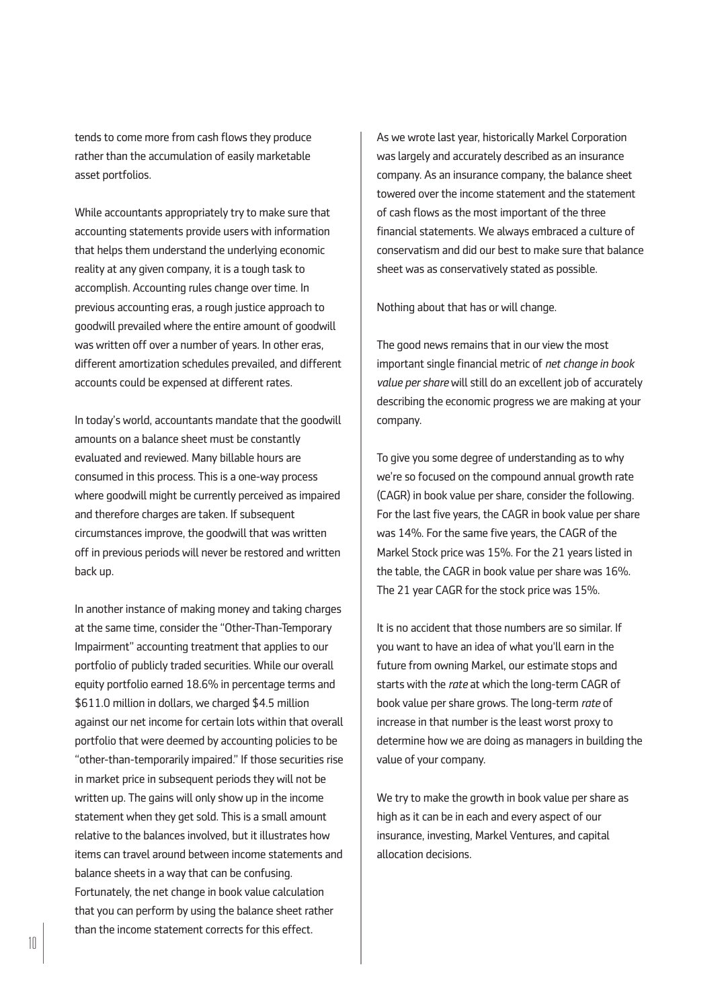tends to come more from cash flows they produce rather than the accumulation of easily marketable asset portfolios.

While accountants appropriately try to make sure that accounting statements provide users with information that helps them understand the underlying economic reality at any given company, it is a tough task to accomplish. Accounting rules change over time. In previous accounting eras, a rough justice approach to goodwill prevailed where the entire amount of goodwill was written off over a number of years. In other eras, different amortization schedules prevailed, and different accounts could be expensed at different rates.

In today's world, accountants mandate that the goodwill amounts on a balance sheet must be constantly evaluated and reviewed. Many billable hours are consumed in this process. This is a one-way process where goodwill might be currently perceived as impaired and therefore charges are taken. If subsequent circumstances improve, the goodwill that was written off in previous periods will never be restored and written back up.

In another instance of making money and taking charges at the same time, consider the "Other-Than-Temporary Impairment" accounting treatment that applies to our portfolio of publicly traded securities. While our overall equity portfolio earned 18.6% in percentage terms and \$611.0 million in dollars, we charged \$4.5 million against our net income for certain lots within that overall portfolio that were deemed by accounting policies to be "other-than-temporarily impaired." If those securities rise in market price in subsequent periods they will not be written up. The gains will only show up in the income statement when they get sold. This is a small amount relative to the balances involved, but it illustrates how items can travel around between income statements and balance sheets in a way that can be confusing. Fortunately, the net change in book value calculation that you can perform by using the balance sheet rather than the income statement corrects for this effect.

As we wrote last year, historically Markel Corporation was largely and accurately described as an insurance company. As an insurance company, the balance sheet towered over the income statement and the statement of cash flows as the most important of the three financial statements. We always embraced a culture of conservatism and did our best to make sure that balance sheet was as conservatively stated as possible.

Nothing about that has or will change.

The good news remains that in our view the most important single financial metric of *net change in book value per share* will still do an excellent job of accurately describing the economic progress we are making at your company.

To give you some degree of understanding as to why we're so focused on the compound annual growth rate (CAGR) in book value per share, consider the following. For the last five years, the CAGR in book value per share was 14%. For the same five years, the CAGR of the Markel Stock price was 15%. For the 21 years listed in the table, the CAGR in book value per share was 16%. The 21 year CAGR for the stock price was 15%.

It is no accident that those numbers are so similar. If you want to have an idea of what you'll earn in the future from owning Markel, our estimate stops and starts with the *rate* at which the long-term CAGR of book value per share grows. The long-term *rate* of increase in that number is the least worst proxy to determine how we are doing as managers in building the value of your company.

We try to make the growth in book value per share as high as it can be in each and every aspect of our insurance, investing, Markel Ventures, and capital allocation decisions.